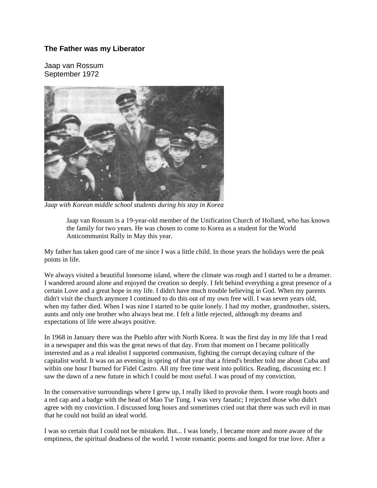## **The Father was my Liberator**

Jaap van Rossum September 1972



*Jaap with Korean middle school students during his stay in Korea* 

Jaap van Rossum is a 19-year-old member of the Unification Church of Holland, who has known the family for two years. He was chosen to come to Korea as a student for the World Anticommunist Rally in May this year.

My father has taken good care of me since I was a little child. In those years the holidays were the peak points in life.

We always visited a beautiful lonesome island, where the climate was rough and I started to be a dreamer. I wandered around alone and enjoyed the creation so deeply. I felt behind everything a great presence of a certain Love and a great hope in my life. I didn't have much trouble believing in God. When my parents didn't visit the church anymore I continued to do this out of my own free will. I was seven years old, when my father died. When I was nine I started to be quite lonely. I had my mother, grandmother, sisters, aunts and only one brother who always beat me. I felt a little rejected, although my dreams and expectations of life were always positive.

In 1968 in January there was the Pueblo after with North Korea. It was the first day in my life that I read in a newspaper and this was the great news of that day. From that moment on I became politically interested and as a real idealist I supported communism, fighting the corrupt decaying culture of the capitalist world. It was on an evening in spring of that year that a friend's brother told me about Cuba and within one hour I burned for Fidel Castro. All my free time went into politics. Reading, discussing etc. I saw the dawn of a new future in which I could be most useful. I was proud of my conviction.

In the conservative surroundings where I grew up, I really liked to provoke them. I wore rough boots and a red cap and a badge with the head of Mao Tse Tung. I was very fanatic; I rejected those who didn't agree with my conviction. I discussed long hours and sometimes cried out that there was such evil in man that he could not build an ideal world.

I was so certain that I could not be mistaken. But... I was lonely, I became more and more aware of the emptiness, the spiritual deadness of the world. I wrote romantic poems and longed for true love. After a